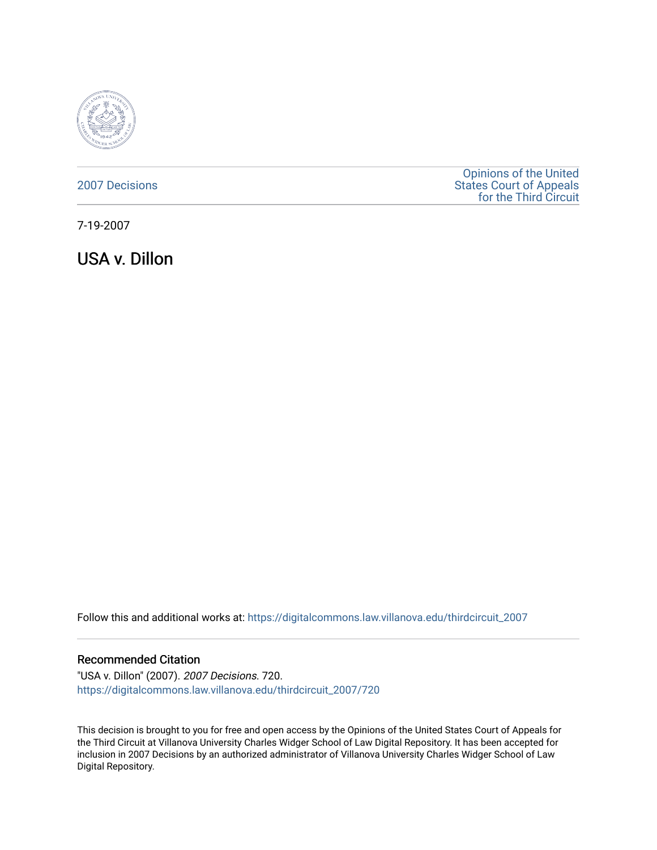

## [2007 Decisions](https://digitalcommons.law.villanova.edu/thirdcircuit_2007)

[Opinions of the United](https://digitalcommons.law.villanova.edu/thirdcircuit)  [States Court of Appeals](https://digitalcommons.law.villanova.edu/thirdcircuit)  [for the Third Circuit](https://digitalcommons.law.villanova.edu/thirdcircuit) 

7-19-2007

USA v. Dillon

Follow this and additional works at: [https://digitalcommons.law.villanova.edu/thirdcircuit\\_2007](https://digitalcommons.law.villanova.edu/thirdcircuit_2007?utm_source=digitalcommons.law.villanova.edu%2Fthirdcircuit_2007%2F720&utm_medium=PDF&utm_campaign=PDFCoverPages) 

### Recommended Citation

"USA v. Dillon" (2007). 2007 Decisions. 720. [https://digitalcommons.law.villanova.edu/thirdcircuit\\_2007/720](https://digitalcommons.law.villanova.edu/thirdcircuit_2007/720?utm_source=digitalcommons.law.villanova.edu%2Fthirdcircuit_2007%2F720&utm_medium=PDF&utm_campaign=PDFCoverPages)

This decision is brought to you for free and open access by the Opinions of the United States Court of Appeals for the Third Circuit at Villanova University Charles Widger School of Law Digital Repository. It has been accepted for inclusion in 2007 Decisions by an authorized administrator of Villanova University Charles Widger School of Law Digital Repository.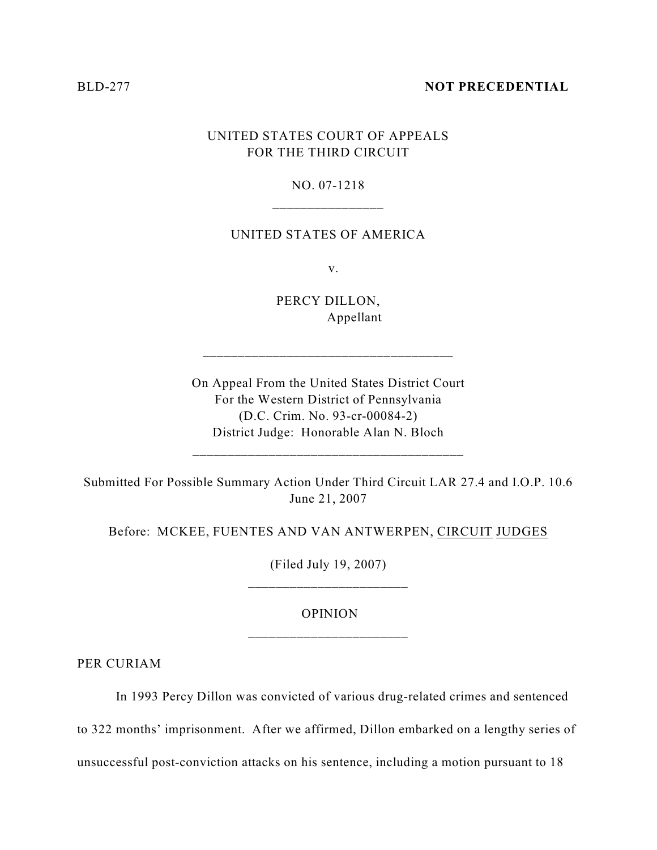#### BLD-277 **NOT PRECEDENTIAL**

# UNITED STATES COURT OF APPEALS FOR THE THIRD CIRCUIT

## NO. 07-1218 \_\_\_\_\_\_\_\_\_\_\_\_\_\_\_\_

### UNITED STATES OF AMERICA

v.

PERCY DILLON, Appellant

\_\_\_\_\_\_\_\_\_\_\_\_\_\_\_\_\_\_\_\_\_\_\_\_\_\_\_\_\_\_\_\_\_\_\_\_

On Appeal From the United States District Court For the Western District of Pennsylvania (D.C. Crim. No. 93-cr-00084-2) District Judge: Honorable Alan N. Bloch

Submitted For Possible Summary Action Under Third Circuit LAR 27.4 and I.O.P. 10.6 June 21, 2007

\_\_\_\_\_\_\_\_\_\_\_\_\_\_\_\_\_\_\_\_\_\_\_\_\_\_\_\_\_\_\_\_\_\_\_\_\_\_\_

Before: MCKEE, FUENTES AND VAN ANTWERPEN, CIRCUIT JUDGES

(Filed July 19, 2007) \_\_\_\_\_\_\_\_\_\_\_\_\_\_\_\_\_\_\_\_\_\_\_

## OPINION \_\_\_\_\_\_\_\_\_\_\_\_\_\_\_\_\_\_\_\_\_\_\_

PER CURIAM

In 1993 Percy Dillon was convicted of various drug-related crimes and sentenced

to 322 months' imprisonment. After we affirmed, Dillon embarked on a lengthy series of

unsuccessful post-conviction attacks on his sentence, including a motion pursuant to 18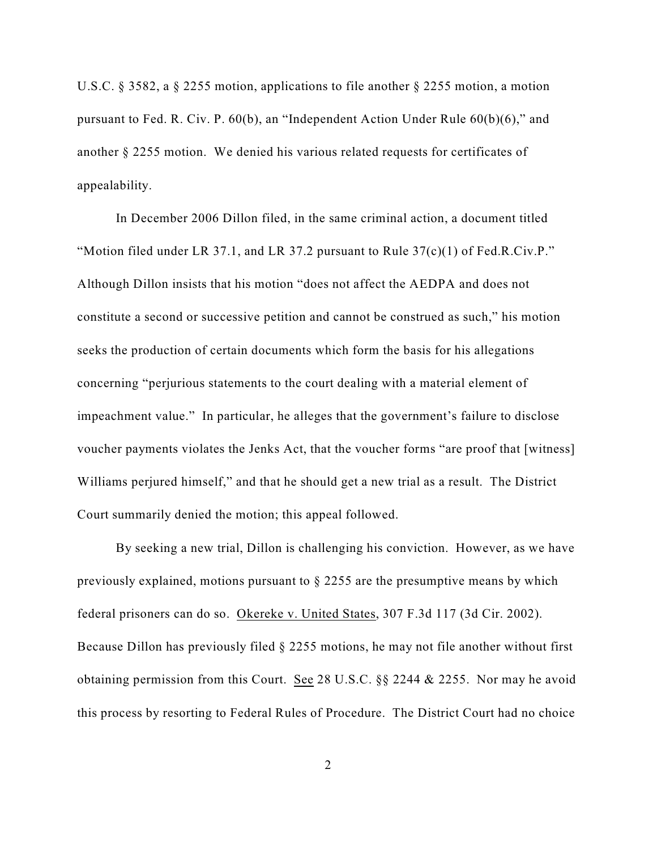U.S.C. § 3582, a § 2255 motion, applications to file another § 2255 motion, a motion pursuant to Fed. R. Civ. P. 60(b), an "Independent Action Under Rule 60(b)(6)," and another § 2255 motion. We denied his various related requests for certificates of appealability.

In December 2006 Dillon filed, in the same criminal action, a document titled "Motion filed under LR 37.1, and LR 37.2 pursuant to Rule  $37(c)(1)$  of Fed.R.Civ.P." Although Dillon insists that his motion "does not affect the AEDPA and does not constitute a second or successive petition and cannot be construed as such," his motion seeks the production of certain documents which form the basis for his allegations concerning "perjurious statements to the court dealing with a material element of impeachment value." In particular, he alleges that the government's failure to disclose voucher payments violates the Jenks Act, that the voucher forms "are proof that [witness] Williams perjured himself," and that he should get a new trial as a result. The District Court summarily denied the motion; this appeal followed.

By seeking a new trial, Dillon is challenging his conviction. However, as we have previously explained, motions pursuant to § 2255 are the presumptive means by which federal prisoners can do so. Okereke v. United States, 307 F.3d 117 (3d Cir. 2002). Because Dillon has previously filed § 2255 motions, he may not file another without first obtaining permission from this Court. See 28 U.S.C. §§ 2244 & 2255. Nor may he avoid this process by resorting to Federal Rules of Procedure. The District Court had no choice

2